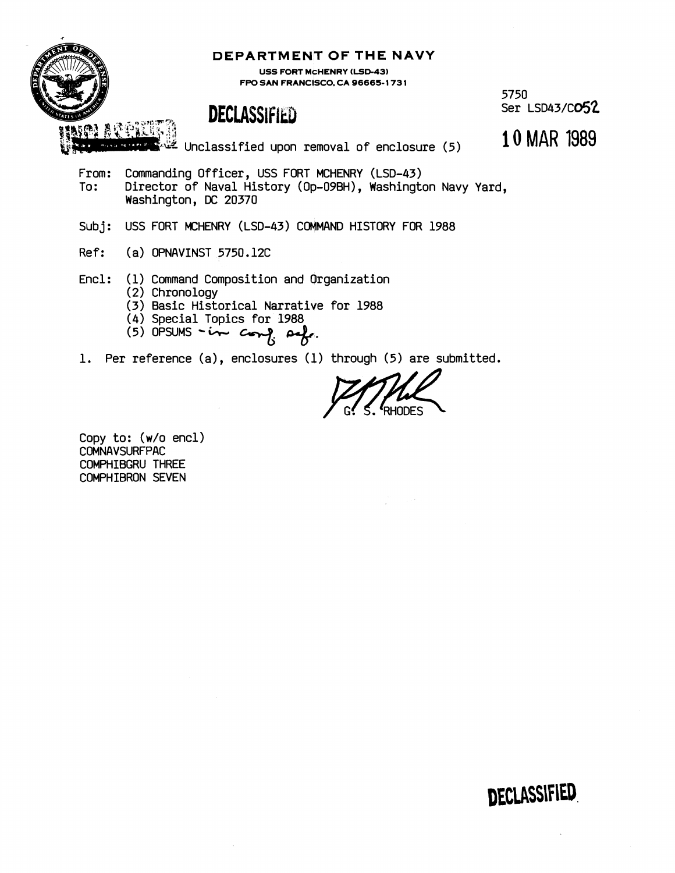

### DEPARTMENT OF THE NAVY

**USS FORT MCHENRY (LSD-43) FPO SAN FRANCISCO, CA 96665-1731** 

# **DECLASSIFIED**

5750<br>Ser LSD43/C**O52** 

**\*xka** Unclassified upon removal of enclosure **(5) 10** MAR 1989

From: Commanding Officer, USS FORT MCHENRY (LSD-43)<br>To: Director of Naval History (On-09BH). Washingt Director of Naval History (Op-09BH), Washington Navy Yard, Washington, DC 20370

Subj: USS FORT MCHENRY (LSD-43) COMMAND HISTORY FOR 1988

- Ref: (a) OPNAVINST 5750.12C
- Encl: (1) Command Composition and Organization
	- **(2)** Chronology
	- (3) Basic Historical Narrative for 1988
	- (4) Special Topics for 1988
	- $(5)$  OPSUMS in comp  $\alpha$ .
- 1. Per reference (a), enclosures (1) through (5) are submitted.

Copy to: (w/o encl) COMNAVSURFPAC COMPHIBGRU THREE COMPHIBRON SEVEN

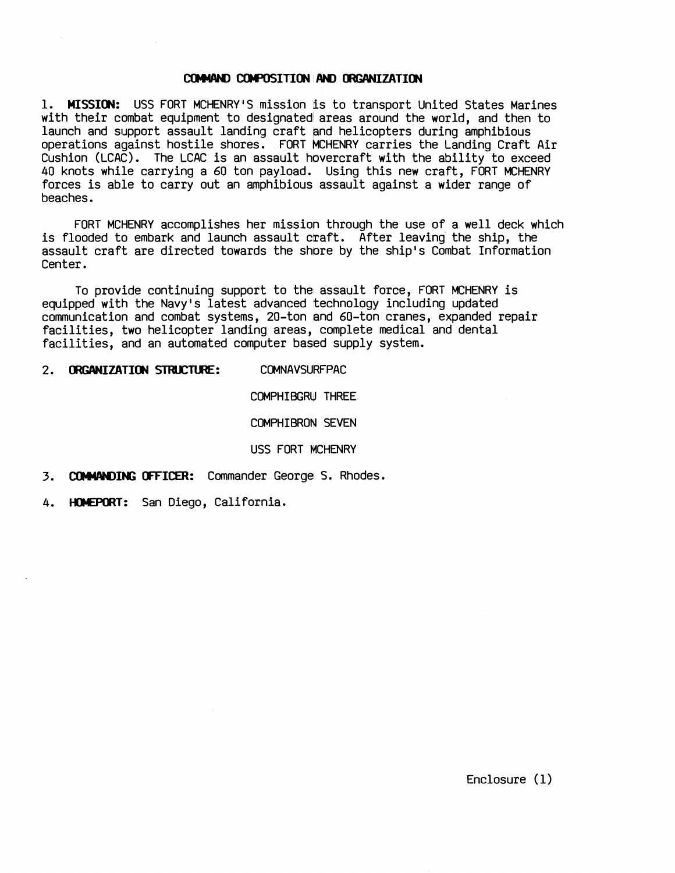#### COMMAND COMPOSITION AND ORGANIZATION

1. **MISSION:** USS FORT MCHENRYIS mission is to transport United States Marines with their combat equipment to designated areas around the world, and then to launch and support assault landing craft and helicopters during amphibious operations against hostile shores. FORT MCHENRY carries the Landing Craft Air Cushion (LCAC). The LCAC is an assault hovercraft with the ability to exceed 40 knots while carrying a 60 ton payload. Using this new craft, FORT MCHENRY forces is able to carry out an amphibious assault against a wider range of beaches.

FORT MCHENRY accomplishes her mission through the use of a well deck which is flooded to embark and launch assault craft. After leaving the ship, the assault craft are directed towards the shore by the ship's Combat Information Center.

To provide continuing support to the assault force, FORT MCHENRY is equipped with the Navy's latest advanced technology including updated communication and combat systems, 20-ton and 60-ton cranes, expanded repair facilities, two helicopter landing areas, complete medical and dental facilities, and an automated computer based supply system.

2. **ORGANIZATION STBJCW:** COMNAVSURFPAC

COMPHIBGRU THREE

COMPHIBRON SEVEN

USS FORT MCHENRY

- 3. **COMMANDING OFFICER:** Commander George S. Rhodes.
- 4. **mT:** San Diego, California.

Enclosure (1)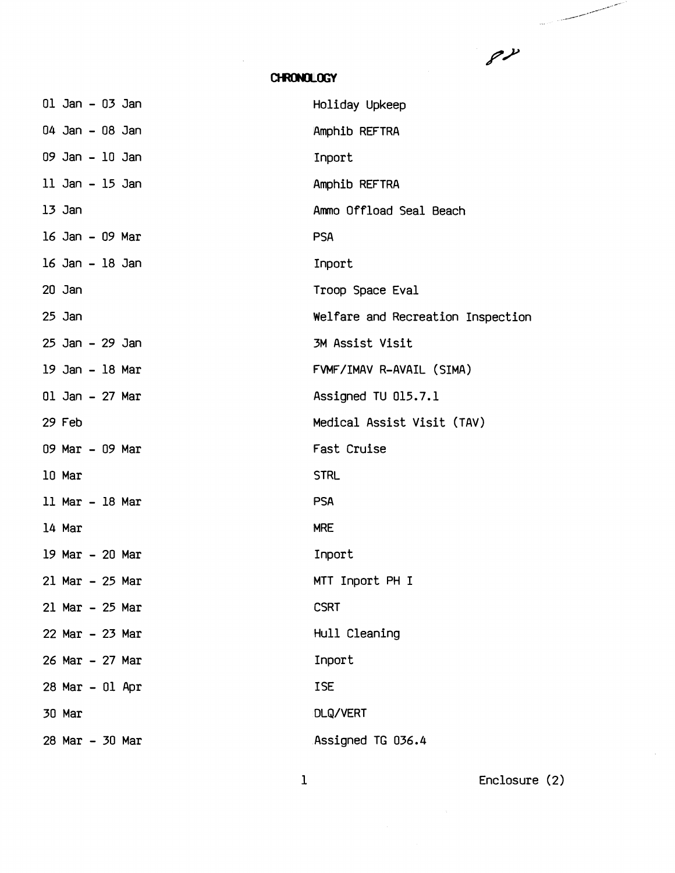$8\lambda$ 

 $\sim$  and  $\sim$   $\sim$ 

## CHRONOLOGY

| Holiday Upkeep                    |
|-----------------------------------|
| Amphib REFTRA                     |
| Inport                            |
| Amphib REFTRA                     |
| Ammo Offload Seal Beach           |
| <b>PSA</b>                        |
| Inport                            |
| Troop Space Eval                  |
| Welfare and Recreation Inspection |
| 3M Assist Visit                   |
| FVMF/IMAV R-AVAIL (SIMA)          |
| Assigned TU 015.7.1               |
| Medical Assist Visit (TAV)        |
| Fast Cruise                       |
| <b>STRL</b>                       |
| <b>PSA</b>                        |
| <b>MRE</b>                        |
| Inport                            |
| MTT Inport PH I                   |
| <b>CSRT</b>                       |
| Hull Cleaning                     |
| Inport                            |
| <b>ISE</b>                        |
| DLQ/VERT                          |
| Assigned TG 036.4                 |
|                                   |

Enclosure (2)

 $\bar{\gamma}$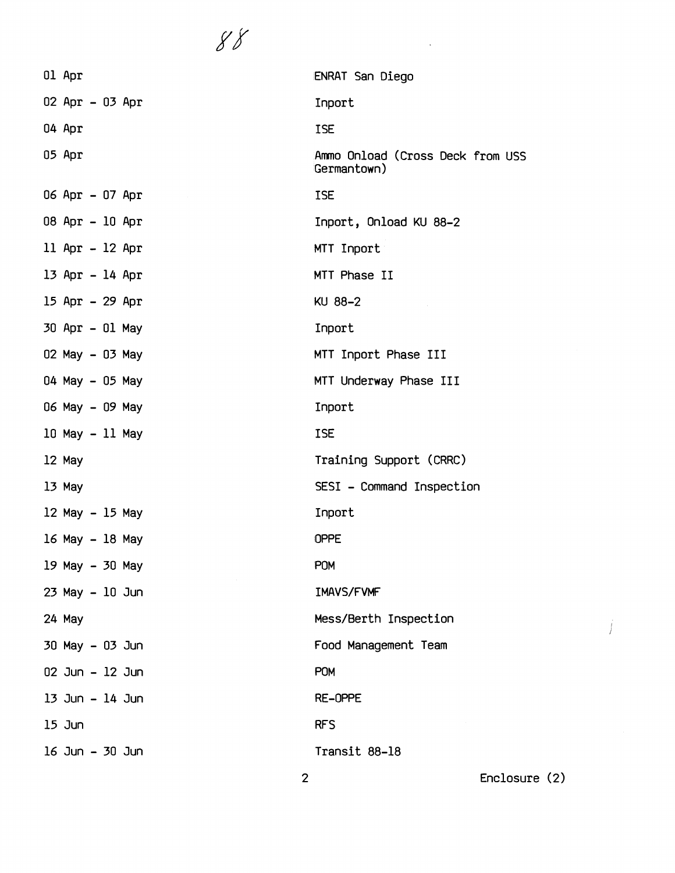| Ol Apr          | ENRAT San Diego                                 |
|-----------------|-------------------------------------------------|
| 02 Apr - 03 Apr | Inport                                          |
| 04 Apr          | <b>ISE</b>                                      |
| 05 Apr          | Ammo Onload (Cross Deck from USS<br>Germantown) |
| 06 Apr - 07 Apr | <b>ISE</b>                                      |
| 08 Apr - 10 Apr | Inport, Onload KU 88-2                          |
| 11 Apr - 12 Apr | MTT Inport                                      |
| 13 Apr - 14 Apr | MTT Phase II                                    |
| 15 Apr - 29 Apr | KU 88-2                                         |
| 30 Apr - 01 May | Inport                                          |
| 02 May - 03 May | MTT Inport Phase III                            |
| 04 May - 05 May | MTT Underway Phase III                          |
| 06 May - 09 May | Inport                                          |
| 10 May - 11 May | <b>ISE</b>                                      |
| 12 May          | Training Support (CRRC)                         |
| 13 May          | SESI - Command Inspection                       |
| 12 May - 15 May | Inport                                          |
| 16 May - 18 May | <b>OPPE</b>                                     |
| 19 May - 30 May | <b>POM</b>                                      |
| 23 May - 10 Jun | IMAVS/FVMF                                      |
| 24 May          | Mess/Berth Inspection                           |
| 30 May - 03 Jun | Food Management Team                            |
| 02 Jun - 12 Jun | <b>POM</b>                                      |
| 13 Jun – 14 Jun | RE-OPPE                                         |
| 15 Jun          | <b>RFS</b>                                      |
| 16 Jun – 30 Jun | Transit 88-18                                   |
| $\overline{2}$  | Enclosure (2)                                   |

 $\mathcal{L}(\mathcal{A})$  . The  $\mathcal{L}(\mathcal{A})$ 

 $\int$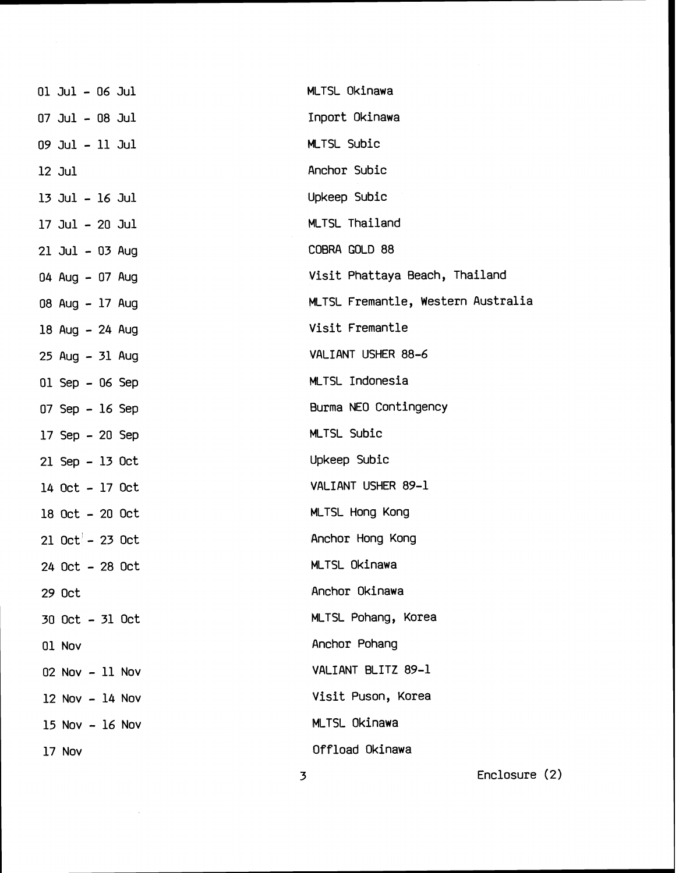| 01 Jul - 06 Jul    | MLTSL Okinawa                      |               |  |
|--------------------|------------------------------------|---------------|--|
| 07 Jul – 08 Jul    | Inport Okinawa                     |               |  |
| 09 Jul - 11 Jul    | MLTSL Subic                        |               |  |
| $12$ Jul           | Anchor Subic                       |               |  |
| 13 Jul - 16 Jul    | Upkeep Subic                       |               |  |
| 17 Jul - 20 Jul    | MLTSL Thailand                     |               |  |
| 21 Jul - 03 Aug    | COBRA GOLD 88                      |               |  |
| 04 Aug - 07 Aug    | Visit Phattaya Beach, Thailand     |               |  |
| 08 Aug - 17 Aug    | MLTSL Fremantle, Western Australia |               |  |
| 18 Aug - 24 Aug    | Visit Fremantle                    |               |  |
| 25 Aug - 31 Aug    | VALIANT USHER 88-6                 |               |  |
| $01$ Sep - 06 Sep  | MLTSL Indonesia                    |               |  |
| 07 Sep - 16 Sep    | Burma NEO Contingency              |               |  |
| $17$ Sep $-20$ Sep | MLTSL Subic                        |               |  |
| 21 Sep - 13 Oct    | Upkeep Subic                       |               |  |
| 14 Oct - 17 Oct    | VALIANT USHER 89-1                 |               |  |
| 18 Oct - 20 Oct    | <b>MLTSL Hong Kong</b>             |               |  |
| $21$ Oct $-23$ Oct | Anchor Hong Kong                   |               |  |
| 24 Oct - 28 Oct    | MLTSL Okinawa                      |               |  |
| 29 Oct             | Anchor Okinawa                     |               |  |
| 30 Oct - 31 Oct    | MLTSL Pohang, Korea                |               |  |
| 01 Nov             | Anchor Pohang                      |               |  |
| $02$ Nov $-11$ Nov | VALIANT BLITZ 89-1                 |               |  |
| 12 Nov - 14 Nov    | Visit Puson, Korea                 |               |  |
| $15$ Nov $-16$ Nov | MLTSL Okinawa                      |               |  |
| 17 Nov             | Offload Okinawa                    |               |  |
|                    | 3                                  | Enclosure (2) |  |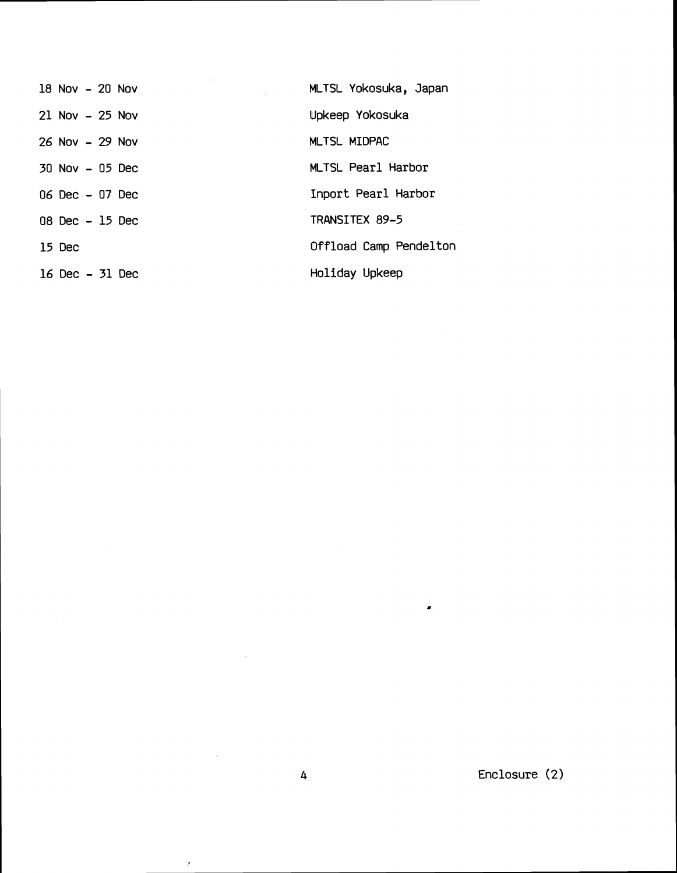| $18$ Nov $-20$ Nov | MLTSL Yokosuka, Japan  |
|--------------------|------------------------|
| $21$ Nov $-25$ Nov | Upkeep Yokosuka        |
| $26$ Nov $-29$ Nov | MLTSL MIDPAC           |
| $30$ Nov $-05$ Dec | MLTSL Pearl Harbor     |
| $06$ Dec $-07$ Dec | Inport Pearl Harbor    |
| $08$ Dec $-15$ Dec | TRANSITEX 89-5         |
| 15 Dec             | Offload Camp Pendelton |
| 16 Dec - 31 Dec    | Holiday Upkeep         |

Enclosure (2)

 $\bullet$ 

 $\sim 10^{-1}$ 

 $\sim$ 

 $\bar{\rho}$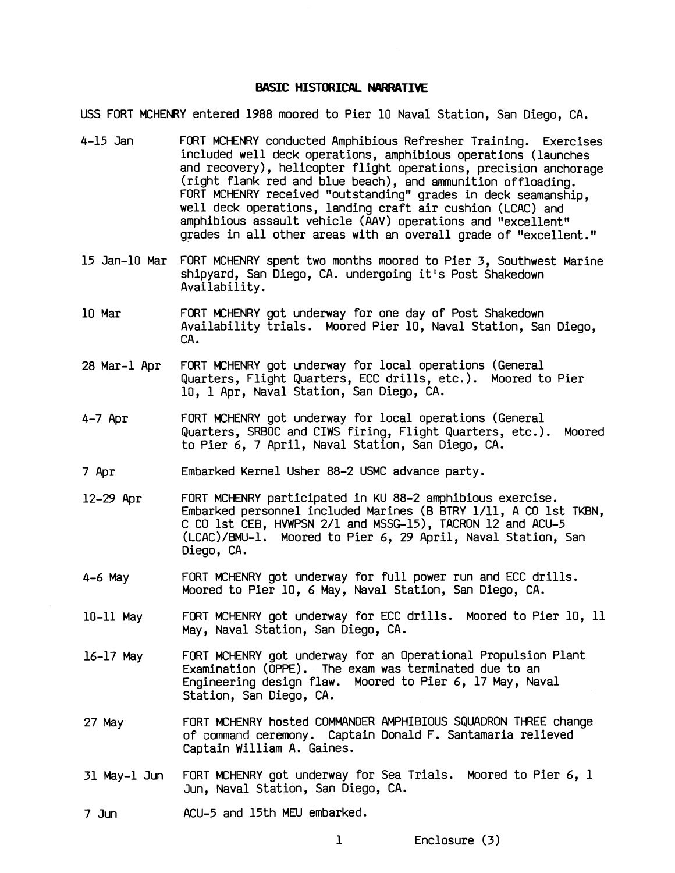#### **BASIC HISTORICAL NARRATIVE**

USS FORT MCHENRY entered 1988 moored to Pier 10 Naval Station, San Diego, CA.

- 4-15 Jan FORT MCHENRY conducted Amphibious Refresher Training. Exercises included well deck operations, amphibious operations (launches and recovery), helicbpter flight operations, precision anchorage (right flank red and blue beach), and ammunition offloading. FORT MCHENRY received "outstanding" grades in deck seamanship. well deck operations, landing craft air cushion (LCAC) and amphibious assault vehicle (AAV) operations and "excellent" grades in all other areas with an overall grade of "excellent."
- 15 Jan-10 Mar FORT MCHENRY spent two months moored to Pier 3, Southwest Marine shipyard, San Diego, CA. undergoing it's Post Shakedown Availability.
- 10 Mar FORT MCHENRY got underway for one day of Post Shakedown Availability trials. Moored Pier 10, Naval Station, San Diego,<br>CA.
- 28 Mar-1 Apr FORT MCHENRY got underway for local operations (General Quarters, Flight Quarters, ECC drills, etc.). Moored to Pier 10, 1 Apr, Naval Station, San Diego, CA.
- 4-7 Apr FORT MCHENRY got underway for local operations (General Quarters, SRBOC and CIWS firing, Flight Quarters, etc.). Moored to Pier 6, 7 April, Naval Station, San Diego, CA.
- 7 Apr Embarked Kernel Usher 88-2 USMC advance party.
- 12-29 Apr FORT MCHENRY participated in KU 88-2 amphibious exercise. Embarked personnel included Marines (B BTRY 1/11, A CO 1st TKBN, C CO 1st CEB, HVWPSN 2/1 and MSSG-15), TACRON 12 and ACU-5 (LCAC)/BMU-1. Moored to Pier 6, 29 April, Naval Station, San Diego, CA.
- 4-6 May FORT MCHENRY got underway for full power run and ECC drills. Moored to Pier 10, 6 May, Naval Station, San Diego, CA.
- 10-11 May FORT MCHENRY got underway for ECC drills. Moored to Pier 10, 11 May, Naval Station, San Diego, CA.
- 16-17 May FORT MCHENRY got underway for an Operational Propulsion Plant Examination (OPPE). The exam was terminated due to an Engineering design flaw. Moored to Pier 6, 17 May, Naval Station, San Diego, CA.
- 27 May FORT MCHENRY hosted COMMANDER AMPHIBIOUS SQUADRON THREE change of command ceremony. Captain Donald F. Santamaria relieved Captain William A. Gaines.
- 31 May-1 Jun FORT MCHENRY got underway for Sea Trials. Moored to Pier 6, 1 Jun, Naval Station, San Diego, CA.
- 7 Jun ACU-5 and 15th **MEU** embarked.
	-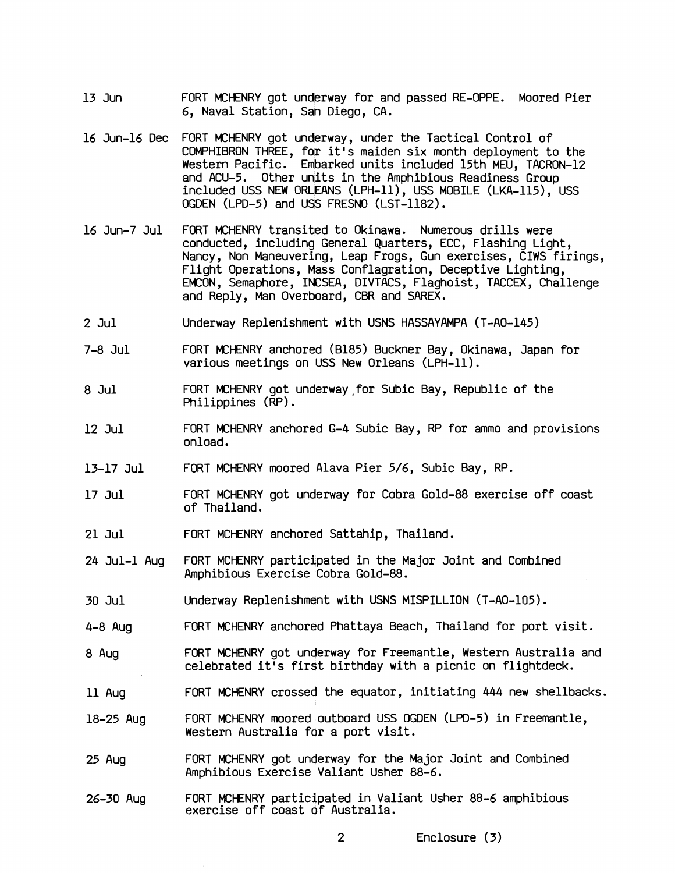- 13 Jun FORT MCHENRY got underway for and passed RE-OPPE. Moored Pier 6, Naval Station, San Diego, CA.
- 16 Jun-16 Dec FORT MCHENRY got underway, under the Tactical Control of COMPHIBRON THREE, for it's maiden six month deployment to the Western Pacific. Embarked units included 15th MEU, TACRON-12 and ACU-5. Other units in the Amphibious Readiness Group included USS NEW ORLEANS (LPH-ll), USS MOBILE (LKA-115), USS OGDEN (LPD-5) and USS FRESNO (LST-1182).
- 16 Jun-7 Jul FORT MCHENRY transited to Okinawa. Numerous drills were conducted, including General Quarters, ECC, Flashing Light, Nancy, Non Maneuvering, Leap Frogs, Gun exercises, CIWS firings, Flight Operations, Mass Conflagration, Deceptive Lighting, EMCON, Semaphore, INCSEA, DIVTACS, Flaghoist, TACCEX, Challenge and Reply, Man Overboard, CBR and SAREX.
- 2 Jul Underway Replenishment with USNS HASSAYAMPA (T-AO-145)
- 7-8 Jul FORT MCHENRY anchored (8185) Buckner Bay, Okinawa, Japan for various meetings on USS New Orleans (LPH-11).
- 8 Jul FORT MCHENRY got underway for Subic Bay, Republic of the Philippines (RP) .
- 12 Jul FORT MCHENRY anchored G-4 Subic Bay, RP for ammo and provisions onload.
- 13-17 Jul FORT MCHENRY moored Alava Pier 5/6, Subic Bay, RP.
- 17 Jul FORT MCHENRY got underway for Cobra Gold-88 exercise off coast of Thailand.
- 21 Jul FORT MCHENRY anchored Sattahip, Thailand.
- $24$  Jul-1 Aug FORT MCHENRY participated in the Major Joint and Combined Amphibious Exercise Cobra Gold-88.
- 30 Jul Underway Replenishment with USNS MISPILLION (T-AO-105).
- $4-8$  Aug FORT MCHENRY anchored Phattaya Beach, Thailand for port visit.
- 8 Aug FORT MCHENRY got underway for Freemantle, Western Australia and celebrated it's first birthday with a picnic on flightdeck.
- 11 Aug FORT MCHENRY crossed the equator, initiating 444 new shellbacks.
- $18 25$  Aug FORT MCHENRY moored outboard USS OGDEN (LPD-5) in Freemantle, Western Australia for a port visit.
- 25 Aug FORT MCHENRY got underway for the Major Joint and Combined Amphibious Exercise Valiant Usher 88-6.
- FORT MCHENRY participated in Valiant Usher 88-6 amphibious  $26 - 30$  Aug exercise off coast of Australia.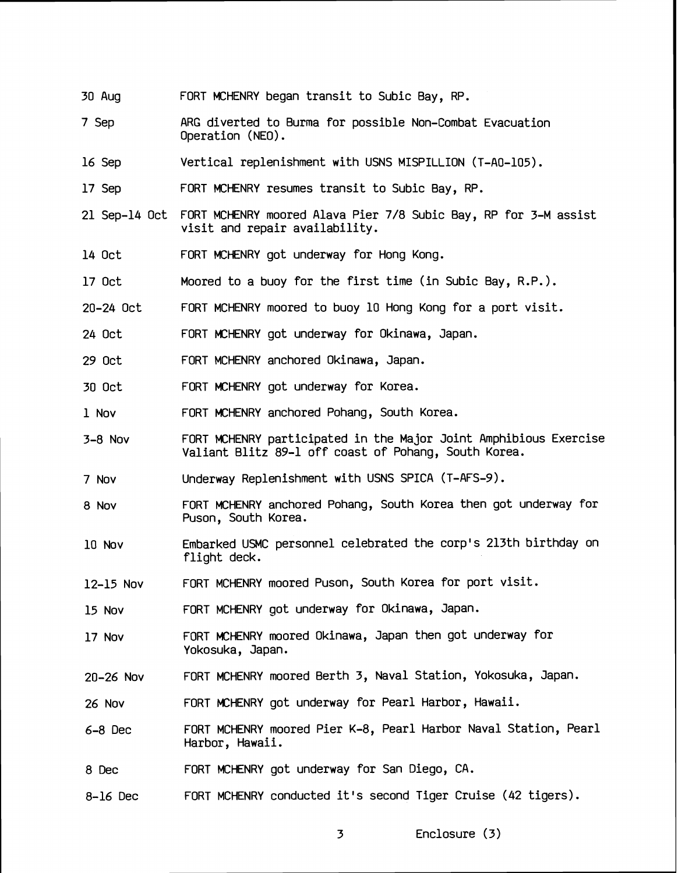- 30 Aug FORT MCHENRY began transit to Subic Bay, RP.
- 7 Sep ARG diverted to Burma for possible Non-Combat Evacuation Operation (NEO) .
- 16 Sep Vertical replenishment with USNS MISPILLION (T-AO-105).
- 17 Sep FORT MCHENRY resumes transit to Subic Bay, RP.
- 21 Sep-14 Oct FORT MCHENRY moored Alava Pier 7/8 Subic Ray, RP for 3-M assist visit and repair availability.
- 14 Oct FORT MCHENRY got underway for Hong Kong.
- 17 Oct Moored to a buoy for the first time (in Subic Bay, R.P. ).
- $20 24$  Oct FORT MCHENRY moored to buoy 10 Hong Kong for a port visit.
- 24 Oct FORT MCHENRY got underway for Okinawa, Japan.
- 29 Oct FORT MCHENRY anchored Okinawa, Japan.
- 30 Oct FORT MCHENRY got underway for Korea.
- 1 Nov FORT MCHENRY anchored Pohang, South Korea.
- 3-8 NOV FORT MCHENRY participated in the Major Joint Amphibious Exercise Valiant Blitz 89-1 dff coast of Pohang, South Korea.
- 7 Nov Underway Replenishment with USNS SPICA (T-AFS-9) .
- 8 Nov FORT MCHENRY anchored Pohang, South Korea then got underway for Puson, South Korea.
- 10 Nov Embarked USMC personnel celebrated the corp's 213th birthday on flight deck.
- 12-15 NOV FORT MCHENRY moored Puson, South Korea for port visit.
- 15 Nov FORT MCHENRY got underway for Okinawa, Japan.
- 17 Nov FORT MCHENRY moored Okinawa, Japan then got underway for Yokosuka, Japan.
- 20-26 NOV FORT MCHENRY moored Berth 3, Naval Station, Yokosuka, Japan.
- 26 Nov FORT MCHENRY got underway for Pearl Harbor, Hawaii.
- 6-8 Dec FORT MCHENRY moored Pier K-8, Pearl Harbor Naval Station, Pearl Harbor, Hawaii.
- 8 Dec FORT MCHENRY got underway for San Diego, CA.
- 8-16 Dec FORT MCHENRY conducted it's second Tiger Cruise (42 tigers).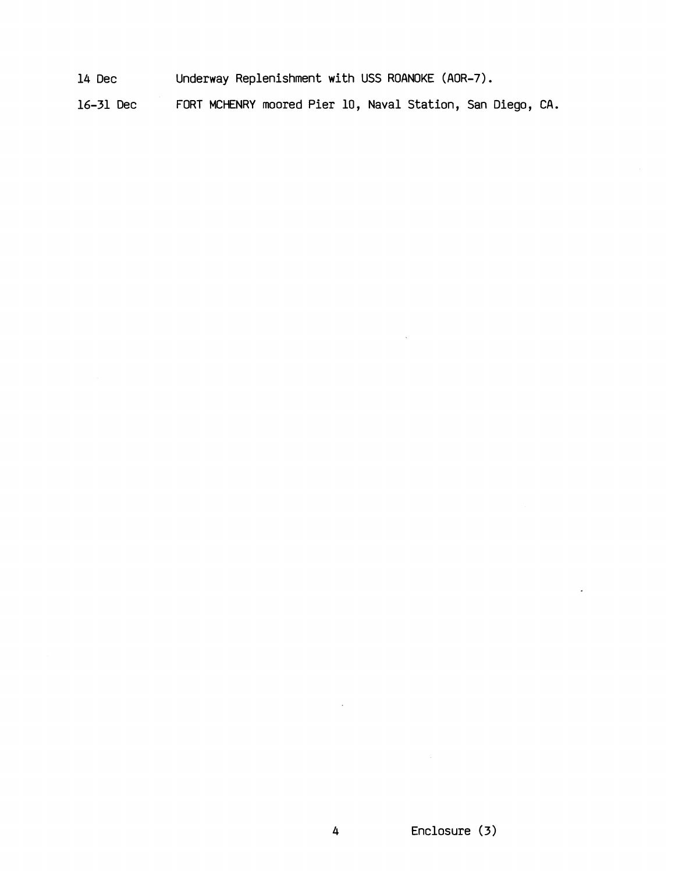14 Dec Underway Replenishment with USS ROANOKE (AOR-7).

16-31 Dec FORT MCHENRY moored Pier 10, Naval Station, San Diego, CA.